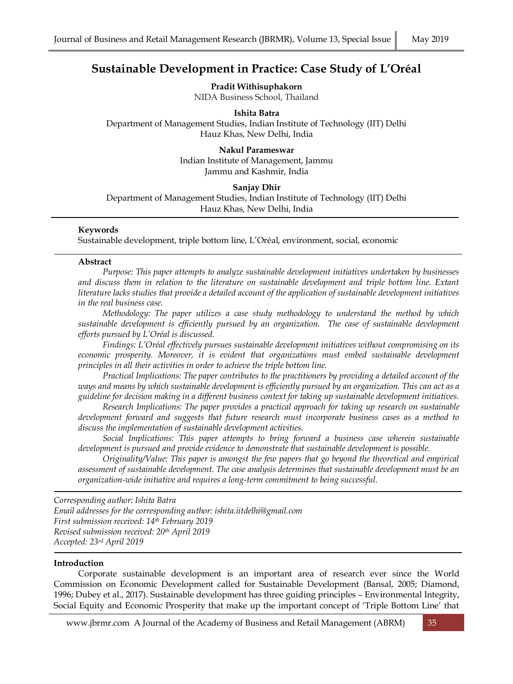# **Sustainable Development in Practice: Case Study of L'Oréal**

**Pradit Withisuphakorn** NIDA Business School, Thailand

**Ishita Batra**

Department of Management Studies, Indian Institute of Technology (IIT) Delhi Hauz Khas, New Delhi, India

> **Nakul Parameswar** Indian Institute of Management, Jammu Jammu and Kashmir, India

### **Sanjay Dhir**

Department of Management Studies, Indian Institute of Technology (IIT) Delhi Hauz Khas, New Delhi, India

### **Keywords**

Sustainable development, triple bottom line, L'Oréal, environment, social, economic

#### **Abstract**

*Purpose: This paper attempts to analyze sustainable development initiatives undertaken by businesses and discuss them in relation to the literature on sustainable development and triple bottom line. Extant literature lacks studies that provide a detailed account of the application of sustainable development initiatives in the real business case.* 

*Methodology: The paper utilizes a case study methodology to understand the method by which*  sustainable development is efficiently pursued by an organization. The case of sustainable development *efforts pursued by L'Oréal is discussed.* 

*Findings: L'Oréal effectively pursues sustainable development initiatives without compromising on its economic prosperity. Moreover, it is evident that organizations must embed sustainable development principles in all their activities in order to achieve the triple bottom line.*

*Practical Implications: The paper contributes to the practitioners by providing a detailed account of the ways and means by which sustainable development is efficiently pursued by an organization. This can act as a guideline for decision making in a different business context for taking up sustainable development initiatives.*

*Research Implications: The paper provides a practical approach for taking up research on sustainable development forward and suggests that future research must incorporate business cases as a method to discuss the implementation of sustainable development activities.* 

*Social Implications: This paper attempts to bring forward a business case wherein sustainable development is pursued and provide evidence to demonstrate that sustainable development is possible.*

*Originality/Value: This paper is amongst the few papers that go beyond the theoretical and empirical assessment of sustainable development. The case analysis determines that sustainable development must be an organization-wide initiative and requires a long-term commitment to being successful.*

*Corresponding author: Ishita Batra Email addresses for the corresponding author: ishita.iitdelhi@gmail.com First submission received: 14th February 2019 Revised submission received: 20th April 2019 Accepted: 23rd April 2019*

#### **Introduction**

Corporate sustainable development is an important area of research ever since the World Commission on Economic Development called for Sustainable Development (Bansal, 2005; Diamond, 1996; Dubey et al., 2017). Sustainable development has three guiding principles – Environmental Integrity, Social Equity and Economic Prosperity that make up the important concept of 'Triple Bottom Line' that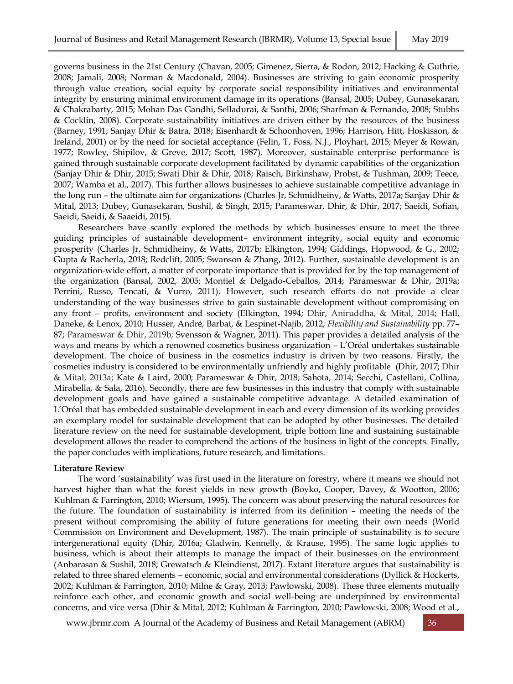governs business in the 21st Century (Chavan, 2005; Gimenez, Sierra, & Rodon, 2012; Hacking & Guthrie, 2008; Jamali, 2008; Norman & Macdonald, 2004). Businesses are striving to gain economic prosperity through value creation, social equity by corporate social responsibility initiatives and environmental integrity by ensuring minimal environment damage in its operations (Bansal, 2005; Dubey, Gunasekaran, & Chakrabarty, 2015; Mohan Das Gandhi, Selladurai, & Santhi, 2006; Sharfman & Fernando, 2008; Stubbs & Cocklin, 2008). Corporate sustainability initiatives are driven either by the resources of the business (Barney, 1991; Sanjay Dhir & Batra, 2018; Eisenhardt & Schoonhoven, 1996; Harrison, Hitt, Hoskisson, & Ireland, 2001) or by the need for societal acceptance (Felin, T, Foss, N.J., Ployhart, 2015; Meyer & Rowan, 1977; Rowley, Shipilov, & Greve, 2017; Scott, 1987). Moreover, sustainable enterprise performance is gained through sustainable corporate development facilitated by dynamic capabilities of the organization (Sanjay Dhir & Dhir, 2015; Swati Dhir & Dhir, 2018; Raisch, Birkinshaw, Probst, & Tushman, 2009; Teece, 2007; Wamba et al., 2017). This further allows businesses to achieve sustainable competitive advantage in the long run – the ultimate aim for organizations (Charles Jr, Schmidheiny, & Watts, 2017a; Sanjay Dhir & Mital, 2013; Dubey, Gunasekaran, Sushil, & Singh, 2015; Parameswar, Dhir, & Dhir, 2017; Saeidi, Sofian, Saeidi, Saeidi, & Saaeidi, 2015).

Researchers have scantly explored the methods by which businesses ensure to meet the three guiding principles of sustainable development– environment integrity, social equity and economic prosperity (Charles Jr, Schmidheiny, & Watts, 2017b; Elkington, 1994; Giddings, Hopwood, & G., 2002; Gupta & Racherla, 2018; Redclift, 2005; Swanson & Zhang, 2012). Further, sustainable development is an organization-wide effort, a matter of corporate importance that is provided for by the top management of the organization (Bansal, 2002, 2005; Montiel & Delgado-Ceballos, 2014; Parameswar & Dhir, 2019a; Perrini, Russo, Tencati, & Vurro, 2011). However, such research efforts do not provide a clear understanding of the way businesses strive to gain sustainable development without compromising on any front – profits, environment and society (Elkington, 1994; Dhir, Aniruddha, & Mital, 2014; Hall, Daneke, & Lenox, 2010; Husser, André, Barbat, & Lespinet-Najib, 2012; *Flexibility and Sustainability* pp. 77– 87; Parameswar & Dhir, 2019b; Svensson & Wagner, 2011). This paper provides a detailed analysis of the ways and means by which a renowned cosmetics business organization – L'Oréal undertakes sustainable development. The choice of business in the cosmetics industry is driven by two reasons. Firstly, the cosmetics industry is considered to be environmentally unfriendly and highly profitable (Dhir, 2017; Dhir & Mital, 2013a; Kate & Laird, 2000; Parameswar & Dhir, 2018; Sahota, 2014; Secchi, Castellani, Collina, Mirabella, & Sala, 2016). Secondly, there are few businesses in this industry that comply with sustainable development goals and have gained a sustainable competitive advantage. A detailed examination of L'Oréal that has embedded sustainable development in each and every dimension of its working provides an exemplary model for sustainable development that can be adopted by other businesses. The detailed literature review on the need for sustainable development, triple bottom line and sustaining sustainable development allows the reader to comprehend the actions of the business in light of the concepts. Finally, the paper concludes with implications, future research, and limitations.

### **Literature Review**

The word 'sustainability' was first used in the literature on forestry, where it means we should not harvest higher than what the forest yields in new growth (Boyko, Cooper, Davey, & Wootton, 2006; Kuhlman & Farrington, 2010; Wiersum, 1995). The concern was about preserving the natural resources for the future. The foundation of sustainability is inferred from its definition – meeting the needs of the present without compromising the ability of future generations for meeting their own needs (World Commission on Environment and Development, 1987). The main principle of sustainability is to secure intergenerational equity (Dhir, 2016a; Gladwin, Kennelly, & Krause, 1995). The same logic applies to business, which is about their attempts to manage the impact of their businesses on the environment (Anbarasan & Sushil, 2018; Grewatsch & Kleindienst, 2017). Extant literature argues that sustainability is related to three shared elements – economic, social and environmental considerations (Dyllick & Hockerts, 2002; Kuhlman & Farrington, 2010; Milne & Gray, 2013; Pawłowski, 2008). These three elements mutually reinforce each other, and economic growth and social well-being are underpinned by environmental concerns, and vice versa (Dhir & Mital, 2012; Kuhlman & Farrington, 2010; Pawłowski, 2008; Wood et al.,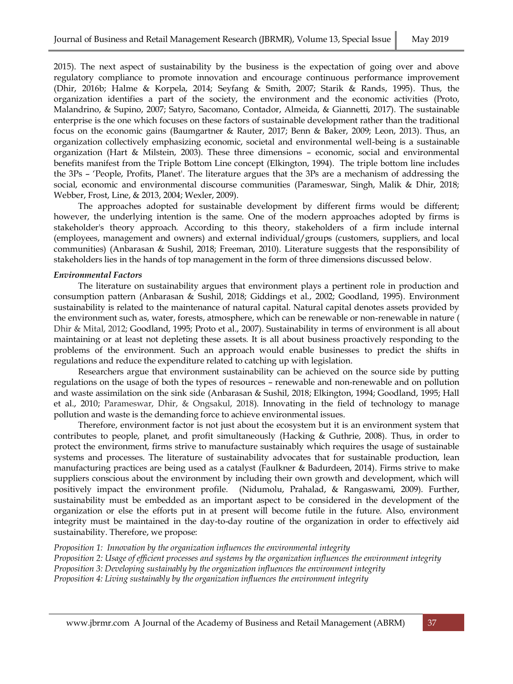2015). The next aspect of sustainability by the business is the expectation of going over and above regulatory compliance to promote innovation and encourage continuous performance improvement (Dhir, 2016b; Halme & Korpela, 2014; Seyfang & Smith, 2007; Starik & Rands, 1995). Thus, the organization identifies a part of the society, the environment and the economic activities (Proto, Malandrino, & Supino, 2007; Satyro, Sacomano, Contador, Almeida, & Giannetti, 2017). The sustainable enterprise is the one which focuses on these factors of sustainable development rather than the traditional focus on the economic gains (Baumgartner & Rauter, 2017; Benn & Baker, 2009; Leon, 2013). Thus, an organization collectively emphasizing economic, societal and environmental well-being is a sustainable organization (Hart & Milstein, 2003). These three dimensions – economic, social and environmental benefits manifest from the Triple Bottom Line concept (Elkington, 1994). The triple bottom line includes the 3Ps – 'People, Profits, Planet'. The literature argues that the 3Ps are a mechanism of addressing the social, economic and environmental discourse communities (Parameswar, Singh, Malik & Dhir, 2018; Webber, Frost, Line, & 2013, 2004; Wexler, 2009).

The approaches adopted for sustainable development by different firms would be different; however, the underlying intention is the same. One of the modern approaches adopted by firms is stakeholder's theory approach. According to this theory, stakeholders of a firm include internal (employees, management and owners) and external individual/groups (customers, suppliers, and local communities) (Anbarasan & Sushil, 2018; Freeman, 2010). Literature suggests that the responsibility of stakeholders lies in the hands of top management in the form of three dimensions discussed below.

#### *Environmental Factors*

The literature on sustainability argues that environment plays a pertinent role in production and consumption pattern (Anbarasan & Sushil, 2018; Giddings et al., 2002; Goodland, 1995). Environment sustainability is related to the maintenance of natural capital. Natural capital denotes assets provided by the environment such as, water, forests, atmosphere, which can be renewable or non-renewable in nature ( Dhir & Mital, 2012; Goodland, 1995; Proto et al., 2007). Sustainability in terms of environment is all about maintaining or at least not depleting these assets. It is all about business proactively responding to the problems of the environment. Such an approach would enable businesses to predict the shifts in regulations and reduce the expenditure related to catching up with legislation.

Researchers argue that environment sustainability can be achieved on the source side by putting regulations on the usage of both the types of resources – renewable and non-renewable and on pollution and waste assimilation on the sink side (Anbarasan & Sushil, 2018; Elkington, 1994; Goodland, 1995; Hall et al., 2010; Parameswar, Dhir, & Ongsakul, 2018). Innovating in the field of technology to manage pollution and waste is the demanding force to achieve environmental issues.

Therefore, environment factor is not just about the ecosystem but it is an environment system that contributes to people, planet, and profit simultaneously (Hacking & Guthrie, 2008). Thus, in order to protect the environment, firms strive to manufacture sustainably which requires the usage of sustainable systems and processes. The literature of sustainability advocates that for sustainable production, lean manufacturing practices are being used as a catalyst (Faulkner & Badurdeen, 2014). Firms strive to make suppliers conscious about the environment by including their own growth and development, which will positively impact the environment profile. (Nidumolu, Prahalad, & Rangaswami, 2009). Further, sustainability must be embedded as an important aspect to be considered in the development of the organization or else the efforts put in at present will become futile in the future. Also, environment integrity must be maintained in the day-to-day routine of the organization in order to effectively aid sustainability. Therefore, we propose:

*Proposition 1: Innovation by the organization influences the environmental integrity* 

*Proposition 2: Usage of efficient processes and systems by the organization influences the environment integrity Proposition 3: Developing sustainably by the organization influences the environment integrity* 

*Proposition 4: Living sustainably by the organization influences the environment integrity*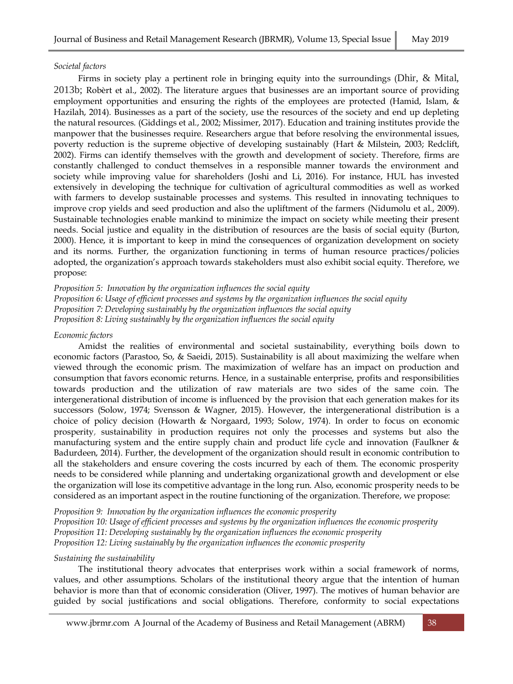### *Societal factors*

Firms in society play a pertinent role in bringing equity into the surroundings (Dhir, & Mital, 2013b; Robèrt et al., 2002). The literature argues that businesses are an important source of providing employment opportunities and ensuring the rights of the employees are protected (Hamid, Islam, & Hazilah, 2014). Businesses as a part of the society, use the resources of the society and end up depleting the natural resources. (Giddings et al., 2002; Missimer, 2017). Education and training institutes provide the manpower that the businesses require. Researchers argue that before resolving the environmental issues, poverty reduction is the supreme objective of developing sustainably (Hart & Milstein, 2003; Redclift, 2002). Firms can identify themselves with the growth and development of society. Therefore, firms are constantly challenged to conduct themselves in a responsible manner towards the environment and society while improving value for shareholders (Joshi and Li, 2016). For instance, HUL has invested extensively in developing the technique for cultivation of agricultural commodities as well as worked with farmers to develop sustainable processes and systems. This resulted in innovating techniques to improve crop yields and seed production and also the upliftment of the farmers (Nidumolu et al., 2009). Sustainable technologies enable mankind to minimize the impact on society while meeting their present needs. Social justice and equality in the distribution of resources are the basis of social equity (Burton, 2000). Hence, it is important to keep in mind the consequences of organization development on society and its norms. Further, the organization functioning in terms of human resource practices/policies adopted, the organization's approach towards stakeholders must also exhibit social equity. Therefore, we propose:

*Proposition 5: Innovation by the organization influences the social equity Proposition 6: Usage of efficient processes and systems by the organization influences the social equity Proposition 7: Developing sustainably by the organization influences the social equity Proposition 8: Living sustainably by the organization influences the social equity*

### *Economic factors*

Amidst the realities of environmental and societal sustainability, everything boils down to economic factors (Parastoo, So, & Saeidi, 2015). Sustainability is all about maximizing the welfare when viewed through the economic prism. The maximization of welfare has an impact on production and consumption that favors economic returns. Hence, in a sustainable enterprise, profits and responsibilities towards production and the utilization of raw materials are two sides of the same coin. The intergenerational distribution of income is influenced by the provision that each generation makes for its successors (Solow, 1974; Svensson & Wagner, 2015). However, the intergenerational distribution is a choice of policy decision (Howarth & Norgaard, 1993; Solow, 1974). In order to focus on economic prosperity, sustainability in production requires not only the processes and systems but also the manufacturing system and the entire supply chain and product life cycle and innovation (Faulkner & Badurdeen, 2014). Further, the development of the organization should result in economic contribution to all the stakeholders and ensure covering the costs incurred by each of them. The economic prosperity needs to be considered while planning and undertaking organizational growth and development or else the organization will lose its competitive advantage in the long run. Also, economic prosperity needs to be considered as an important aspect in the routine functioning of the organization. Therefore, we propose:

*Proposition 9: Innovation by the organization influences the economic prosperity Proposition 10: Usage of efficient processes and systems by the organization influences the economic prosperity Proposition 11: Developing sustainably by the organization influences the economic prosperity Proposition 12: Living sustainably by the organization influences the economic prosperity*

### *Sustaining the sustainability*

The institutional theory advocates that enterprises work within a social framework of norms, values, and other assumptions. Scholars of the institutional theory argue that the intention of human behavior is more than that of economic consideration (Oliver, 1997). The motives of human behavior are guided by social justifications and social obligations. Therefore, conformity to social expectations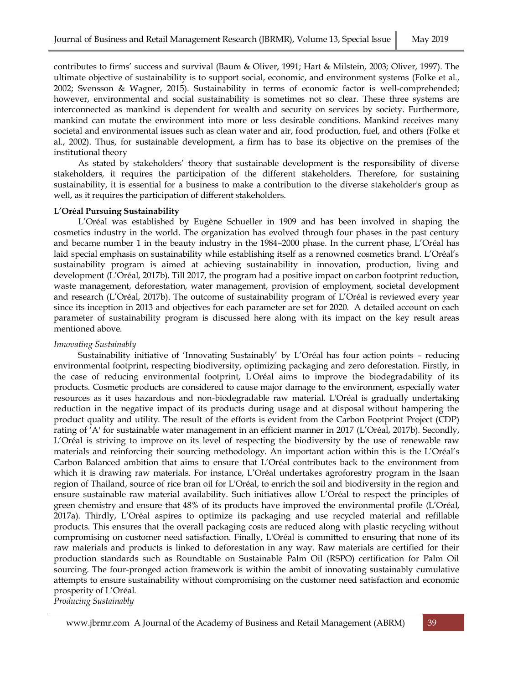contributes to firms' success and survival (Baum & Oliver, 1991; Hart & Milstein, 2003; Oliver, 1997). The ultimate objective of sustainability is to support social, economic, and environment systems (Folke et al., 2002; Svensson & Wagner, 2015). Sustainability in terms of economic factor is well-comprehended; however, environmental and social sustainability is sometimes not so clear. These three systems are interconnected as mankind is dependent for wealth and security on services by society. Furthermore, mankind can mutate the environment into more or less desirable conditions. Mankind receives many societal and environmental issues such as clean water and air, food production, fuel, and others (Folke et al., 2002). Thus, for sustainable development, a firm has to base its objective on the premises of the institutional theory

As stated by stakeholders' theory that sustainable development is the responsibility of diverse stakeholders, it requires the participation of the different stakeholders. Therefore, for sustaining sustainability, it is essential for a business to make a contribution to the diverse stakeholder's group as well, as it requires the participation of different stakeholders.

### **L'Oréal Pursuing Sustainability**

L'Oréal was established by Eugène Schueller in 1909 and has been involved in shaping the cosmetics industry in the world. The organization has evolved through four phases in the past century and became number 1 in the beauty industry in the 1984–2000 phase. In the current phase, L'Oréal has laid special emphasis on sustainability while establishing itself as a renowned cosmetics brand. L'Oréal's sustainability program is aimed at achieving sustainability in innovation, production, living and development (L'Oréal, 2017b). Till 2017, the program had a positive impact on carbon footprint reduction, waste management, deforestation, water management, provision of employment, societal development and research (L'Oréal, 2017b). The outcome of sustainability program of L'Oréal is reviewed every year since its inception in 2013 and objectives for each parameter are set for 2020. A detailed account on each parameter of sustainability program is discussed here along with its impact on the key result areas mentioned above.

### *Innovating Sustainably*

Sustainability initiative of 'Innovating Sustainably' by L'Oréal has four action points – reducing environmental footprint, respecting biodiversity, optimizing packaging and zero deforestation. Firstly, in the case of reducing environmental footprint, L'Oréal aims to improve the biodegradability of its products. Cosmetic products are considered to cause major damage to the environment, especially water resources as it uses hazardous and non-biodegradable raw material. L'Oréal is gradually undertaking reduction in the negative impact of its products during usage and at disposal without hampering the product quality and utility. The result of the efforts is evident from the Carbon Footprint Project (CDP) rating of 'A' for sustainable water management in an efficient manner in 2017 (L'Oréal, 2017b). Secondly, L'Oréal is striving to improve on its level of respecting the biodiversity by the use of renewable raw materials and reinforcing their sourcing methodology. An important action within this is the L'Oréal's Carbon Balanced ambition that aims to ensure that L'Oréal contributes back to the environment from which it is drawing raw materials. For instance, L'Oréal undertakes agroforestry program in the Isaan region of Thailand, source of rice bran oil for L'Oréal, to enrich the soil and biodiversity in the region and ensure sustainable raw material availability. Such initiatives allow L'Oréal to respect the principles of green chemistry and ensure that 48% of its products have improved the environmental profile (L'Oréal, 2017a). Thirdly, L'Oréal aspires to optimize its packaging and use recycled material and refillable products. This ensures that the overall packaging costs are reduced along with plastic recycling without compromising on customer need satisfaction. Finally, L'Oréal is committed to ensuring that none of its raw materials and products is linked to deforestation in any way. Raw materials are certified for their production standards such as Roundtable on Sustainable Palm Oil (RSPO) certification for Palm Oil sourcing. The four-pronged action framework is within the ambit of innovating sustainably cumulative attempts to ensure sustainability without compromising on the customer need satisfaction and economic prosperity of L'Oréal.

*Producing Sustainably*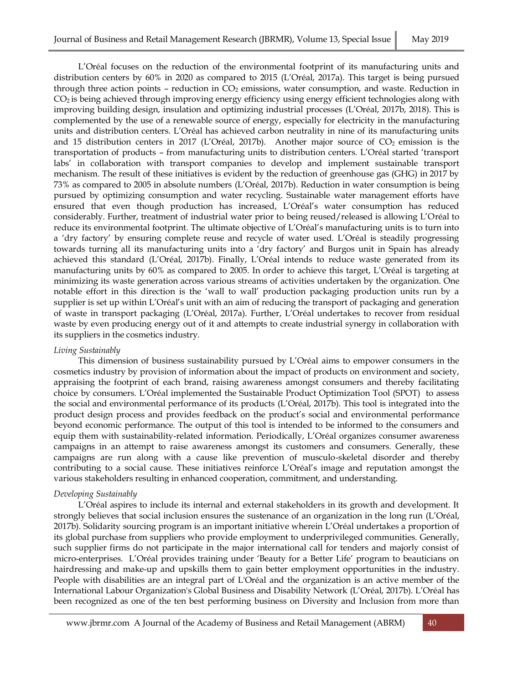L'Oréal focuses on the reduction of the environmental footprint of its manufacturing units and distribution centers by 60% in 2020 as compared to 2015 (L'Oréal, 2017a). This target is being pursued through three action points – reduction in  $CO<sub>2</sub>$  emissions, water consumption, and waste. Reduction in  $CO<sub>2</sub>$  is being achieved through improving energy efficiency using energy efficient technologies along with improving building design, insulation and optimizing industrial processes (L'Oréal, 2017b, 2018). This is complemented by the use of a renewable source of energy, especially for electricity in the manufacturing units and distribution centers. L'Oréal has achieved carbon neutrality in nine of its manufacturing units and 15 distribution centers in 2017 (L'Oréal, 2017b). Another major source of  $CO_2$  emission is the transportation of products – from manufacturing units to distribution centers. L'Oréal started 'transport labs' in collaboration with transport companies to develop and implement sustainable transport mechanism. The result of these initiatives is evident by the reduction of greenhouse gas (GHG) in 2017 by 73% as compared to 2005 in absolute numbers (L'Oréal, 2017b). Reduction in water consumption is being pursued by optimizing consumption and water recycling. Sustainable water management efforts have ensured that even though production has increased, L'Oréal's water consumption has reduced considerably. Further, treatment of industrial water prior to being reused/released is allowing L'Oréal to reduce its environmental footprint. The ultimate objective of L'Oréal's manufacturing units is to turn into a 'dry factory' by ensuring complete reuse and recycle of water used. L'Oréal is steadily progressing towards turning all its manufacturing units into a 'dry factory' and Burgos unit in Spain has already achieved this standard (L'Oréal, 2017b). Finally, L'Oréal intends to reduce waste generated from its manufacturing units by 60% as compared to 2005. In order to achieve this target, L'Oréal is targeting at minimizing its waste generation across various streams of activities undertaken by the organization. One notable effort in this direction is the 'wall to wall' production packaging production units run by a supplier is set up within L'Oréal's unit with an aim of reducing the transport of packaging and generation of waste in transport packaging (L'Oréal, 2017a). Further, L'Oréal undertakes to recover from residual waste by even producing energy out of it and attempts to create industrial synergy in collaboration with its suppliers in the cosmetics industry.

### *Living Sustainably*

This dimension of business sustainability pursued by L'Oréal aims to empower consumers in the cosmetics industry by provision of information about the impact of products on environment and society, appraising the footprint of each brand, raising awareness amongst consumers and thereby facilitating choice by consumers. L'Oréal implemented the Sustainable Product Optimization Tool (SPOT) to assess the social and environmental performance of its products (L'Oréal, 2017b). This tool is integrated into the product design process and provides feedback on the product's social and environmental performance beyond economic performance. The output of this tool is intended to be informed to the consumers and equip them with sustainability-related information. Periodically, L'Oréal organizes consumer awareness campaigns in an attempt to raise awareness amongst its customers and consumers. Generally, these campaigns are run along with a cause like prevention of musculo-skeletal disorder and thereby contributing to a social cause. These initiatives reinforce L'Oréal's image and reputation amongst the various stakeholders resulting in enhanced cooperation, commitment, and understanding.

### *Developing Sustainably*

L'Oréal aspires to include its internal and external stakeholders in its growth and development. It strongly believes that social inclusion ensures the sustenance of an organization in the long run (L'Oréal, 2017b). Solidarity sourcing program is an important initiative wherein L'Oréal undertakes a proportion of its global purchase from suppliers who provide employment to underprivileged communities. Generally, such supplier firms do not participate in the major international call for tenders and majorly consist of micro-enterprises. L'Oréal provides training under 'Beauty for a Better Life' program to beauticians on hairdressing and make-up and upskills them to gain better employment opportunities in the industry. People with disabilities are an integral part of L'Oréal and the organization is an active member of the International Labour Organization's Global Business and Disability Network (L'Oréal, 2017b). L'Oréal has been recognized as one of the ten best performing business on Diversity and Inclusion from more than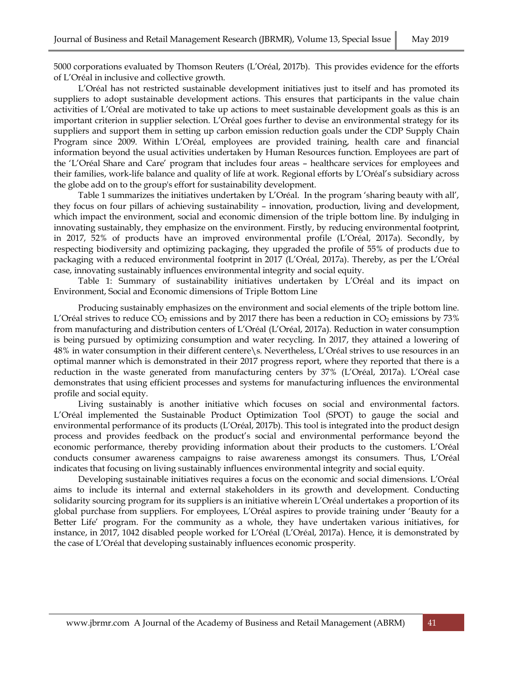5000 corporations evaluated by Thomson Reuters (L'Oréal, 2017b). This provides evidence for the efforts of L'Oréal in inclusive and collective growth.

L'Oréal has not restricted sustainable development initiatives just to itself and has promoted its suppliers to adopt sustainable development actions. This ensures that participants in the value chain activities of L'Oréal are motivated to take up actions to meet sustainable development goals as this is an important criterion in supplier selection. L'Oréal goes further to devise an environmental strategy for its suppliers and support them in setting up carbon emission reduction goals under the CDP Supply Chain Program since 2009. Within L'Oréal, employees are provided training, health care and financial information beyond the usual activities undertaken by Human Resources function. Employees are part of the 'L'Oréal Share and Care' program that includes four areas – healthcare services for employees and their families, work-life balance and quality of life at work. Regional efforts by L'Oréal's subsidiary across the globe add on to the group's effort for sustainability development.

Table 1 summarizes the initiatives undertaken by L'Oréal. In the program 'sharing beauty with all', they focus on four pillars of achieving sustainability – innovation, production, living and development, which impact the environment, social and economic dimension of the triple bottom line. By indulging in innovating sustainably, they emphasize on the environment. Firstly, by reducing environmental footprint, in 2017, 52% of products have an improved environmental profile (L'Oréal, 2017a). Secondly, by respecting biodiversity and optimizing packaging, they upgraded the profile of 55% of products due to packaging with a reduced environmental footprint in 2017 (L'Oréal, 2017a). Thereby, as per the L'Oréal case, innovating sustainably influences environmental integrity and social equity.

Table 1: Summary of sustainability initiatives undertaken by L'Oréal and its impact on Environment, Social and Economic dimensions of Triple Bottom Line

Producing sustainably emphasizes on the environment and social elements of the triple bottom line. L'Oréal strives to reduce  $CO_2$  emissions and by 2017 there has been a reduction in  $CO_2$  emissions by 73% from manufacturing and distribution centers of L'Oréal (L'Oréal, 2017a). Reduction in water consumption is being pursued by optimizing consumption and water recycling. In 2017, they attained a lowering of 48% in water consumption in their different centere\s. Nevertheless, L'Oréal strives to use resources in an optimal manner which is demonstrated in their 2017 progress report, where they reported that there is a reduction in the waste generated from manufacturing centers by 37% (L'Oréal, 2017a). L'Oréal case demonstrates that using efficient processes and systems for manufacturing influences the environmental profile and social equity.

Living sustainably is another initiative which focuses on social and environmental factors. L'Oréal implemented the Sustainable Product Optimization Tool (SPOT) to gauge the social and environmental performance of its products (L'Oréal, 2017b). This tool is integrated into the product design process and provides feedback on the product's social and environmental performance beyond the economic performance, thereby providing information about their products to the customers. L'Oréal conducts consumer awareness campaigns to raise awareness amongst its consumers. Thus, L'Oréal indicates that focusing on living sustainably influences environmental integrity and social equity.

Developing sustainable initiatives requires a focus on the economic and social dimensions. L'Oréal aims to include its internal and external stakeholders in its growth and development. Conducting solidarity sourcing program for its suppliers is an initiative wherein L'Oréal undertakes a proportion of its global purchase from suppliers. For employees, L'Oréal aspires to provide training under 'Beauty for a Better Life' program. For the community as a whole, they have undertaken various initiatives, for instance, in 2017, 1042 disabled people worked for L'Oréal (L'Oréal, 2017a). Hence, it is demonstrated by the case of L'Oréal that developing sustainably influences economic prosperity.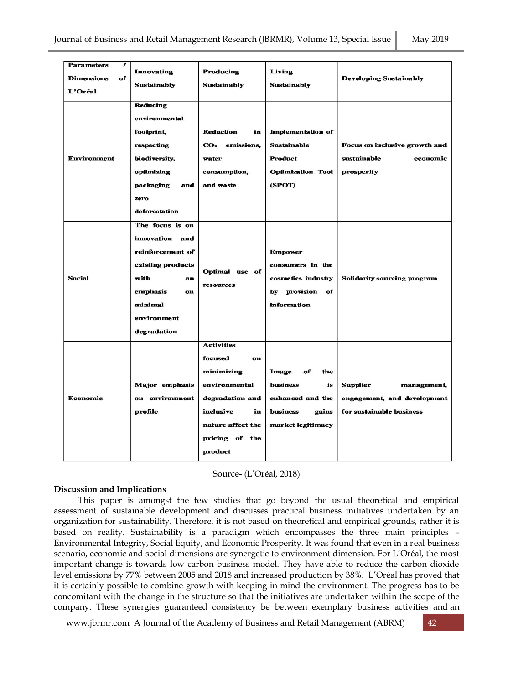| <b>Parameters</b><br>$\prime$<br><b>Dimensions</b><br>of<br>L'Oréal<br><b>Environment</b> | <b>Innovating</b><br><b>Sustainably</b><br>Reducing<br>environmental<br>footprint,<br>respecting<br>biodiversity,<br>optimizing                     | Producing<br><b>Sustainably</b><br>Reduction<br>in<br>CO <sub>2</sub> emissions,<br>water<br>consumption,                                                 | Living<br><b>Sustainably</b><br>Implementation of<br><b>Sustainable</b><br>Product<br><b>Optimization Tool</b> | <b>Developing Sustainably</b><br>Focus on inclusive growth and<br>sustainable<br>economic<br>prosperity |
|-------------------------------------------------------------------------------------------|-----------------------------------------------------------------------------------------------------------------------------------------------------|-----------------------------------------------------------------------------------------------------------------------------------------------------------|----------------------------------------------------------------------------------------------------------------|---------------------------------------------------------------------------------------------------------|
|                                                                                           | packaging<br>and<br>zero<br>deforestation                                                                                                           | and waste                                                                                                                                                 | (SPOT)                                                                                                         |                                                                                                         |
| <b>Social</b>                                                                             | The focus is on<br>innovation and<br>reinforcement of<br>existing products<br>with<br>an<br>emphasis<br>on<br>minimal<br>environment<br>degradation | Optimal use of<br>resources                                                                                                                               | <b>Empower</b><br>consumers in the<br>cosmetics industry<br>by provision<br>of<br>information                  | <b>Solidarity sourcing program</b>                                                                      |
| <b>Economic</b>                                                                           | Major emphasis<br>on environment<br>profile                                                                                                         | <b>Activities</b><br>focused<br>on<br>minimizing<br>environmental<br>degradation and<br>inclusive<br>in<br>nature affect the<br>pricing of the<br>product | Image<br>of<br>the<br>business<br>is<br>enhanced and the<br><b>business</b><br>gains<br>market legitimacy      | <b>Supplier</b><br>management,<br>engagement, and development<br>for sustainable business               |

Source- (L'Oréal, 2018)

## **Discussion and Implications**

This paper is amongst the few studies that go beyond the usual theoretical and empirical assessment of sustainable development and discusses practical business initiatives undertaken by an organization for sustainability. Therefore, it is not based on theoretical and empirical grounds, rather it is based on reality. Sustainability is a paradigm which encompasses the three main principles – Environmental Integrity, Social Equity, and Economic Prosperity. It was found that even in a real business scenario, economic and social dimensions are synergetic to environment dimension. For L'Oréal, the most important change is towards low carbon business model. They have able to reduce the carbon dioxide level emissions by 77% between 2005 and 2018 and increased production by 38%. L'Oréal has proved that it is certainly possible to combine growth with keeping in mind the environment. The progress has to be concomitant with the change in the structure so that the initiatives are undertaken within the scope of the company. These synergies guaranteed consistency be between exemplary business activities and an

[www.jbrmr.com](http://www.jbrmr.com/) A Journal of the Academy of Business and Retail Management (ABRM) 42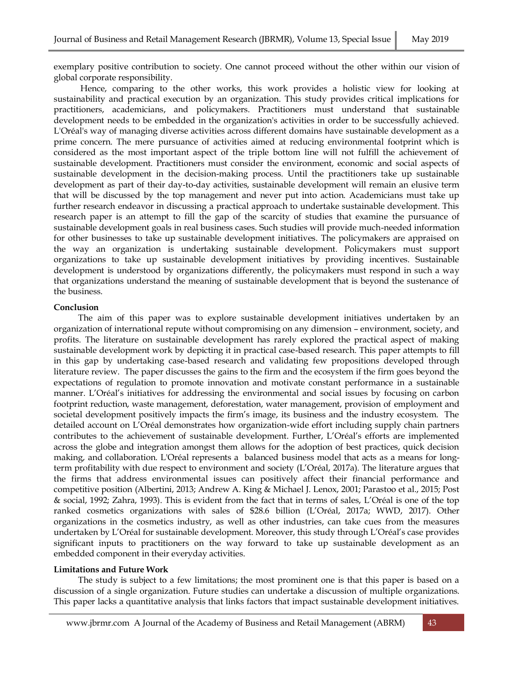exemplary positive contribution to society. One cannot proceed without the other within our vision of global corporate responsibility.

Hence, comparing to the other works, this work provides a holistic view for looking at sustainability and practical execution by an organization. This study provides critical implications for practitioners, academicians, and policymakers. Practitioners must understand that sustainable development needs to be embedded in the organization's activities in order to be successfully achieved. L'Oréal's way of managing diverse activities across different domains have sustainable development as a prime concern. The mere pursuance of activities aimed at reducing environmental footprint which is considered as the most important aspect of the triple bottom line will not fulfill the achievement of sustainable development. Practitioners must consider the environment, economic and social aspects of sustainable development in the decision-making process. Until the practitioners take up sustainable development as part of their day-to-day activities, sustainable development will remain an elusive term that will be discussed by the top management and never put into action. Academicians must take up further research endeavor in discussing a practical approach to undertake sustainable development. This research paper is an attempt to fill the gap of the scarcity of studies that examine the pursuance of sustainable development goals in real business cases. Such studies will provide much-needed information for other businesses to take up sustainable development initiatives. The policymakers are appraised on the way an organization is undertaking sustainable development. Policymakers must support organizations to take up sustainable development initiatives by providing incentives. Sustainable development is understood by organizations differently, the policymakers must respond in such a way that organizations understand the meaning of sustainable development that is beyond the sustenance of the business.

### **Conclusion**

The aim of this paper was to explore sustainable development initiatives undertaken by an organization of international repute without compromising on any dimension – environment, society, and profits. The literature on sustainable development has rarely explored the practical aspect of making sustainable development work by depicting it in practical case-based research. This paper attempts to fill in this gap by undertaking case-based research and validating few propositions developed through literature review. The paper discusses the gains to the firm and the ecosystem if the firm goes beyond the expectations of regulation to promote innovation and motivate constant performance in a sustainable manner. L'Oréal's initiatives for addressing the environmental and social issues by focusing on carbon footprint reduction, waste management, deforestation, water management, provision of employment and societal development positively impacts the firm's image, its business and the industry ecosystem. The detailed account on L'Oréal demonstrates how organization-wide effort including supply chain partners contributes to the achievement of sustainable development. Further, L'Oréal's efforts are implemented across the globe and integration amongst them allows for the adoption of best practices, quick decision making, and collaboration. L'Oréal represents a balanced business model that acts as a means for longterm profitability with due respect to environment and society (L'Oréal, 2017a). The literature argues that the firms that address environmental issues can positively affect their financial performance and competitive position (Albertini, 2013; Andrew A. King & Michael J. Lenox, 2001; Parastoo et al., 2015; Post & social, 1992; Zahra, 1993). This is evident from the fact that in terms of sales, L'Oréal is one of the top ranked cosmetics organizations with sales of \$28.6 billion (L'Oréal, 2017a; WWD, 2017). Other organizations in the cosmetics industry, as well as other industries, can take cues from the measures undertaken by L'Oréal for sustainable development. Moreover, this study through L'Oréal's case provides significant inputs to practitioners on the way forward to take up sustainable development as an embedded component in their everyday activities.

### **Limitations and Future Work**

The study is subject to a few limitations; the most prominent one is that this paper is based on a discussion of a single organization. Future studies can undertake a discussion of multiple organizations. This paper lacks a quantitative analysis that links factors that impact sustainable development initiatives.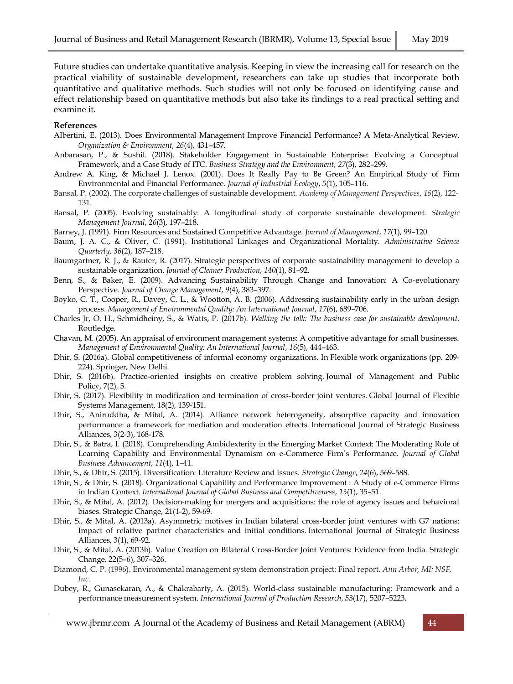Future studies can undertake quantitative analysis. Keeping in view the increasing call for research on the practical viability of sustainable development, researchers can take up studies that incorporate both quantitative and qualitative methods. Such studies will not only be focused on identifying cause and effect relationship based on quantitative methods but also take its findings to a real practical setting and examine it.

### **References**

- Albertini, E. (2013). Does Environmental Management Improve Financial Performance? A Meta-Analytical Review. *Organization & Environment*, *26*(4), 431–457.
- Anbarasan, P., & Sushil. (2018). Stakeholder Engagement in Sustainable Enterprise: Evolving a Conceptual Framework, and a Case Study of ITC. *Business Strategy and the Environment*, *27*(3), 282–299.
- Andrew A. King, & Michael J. Lenox. (2001). Does It Really Pay to Be Green? An Empirical Study of Firm Environmental and Financial Performance. *Journal of Industrial Ecology*, *5*(1), 105–116.
- Bansal, P. (2002). The corporate challenges of sustainable development. *Academy of Management Perspectives*, *16*(2), 122- 131.
- Bansal, P. (2005). Evolving sustainably: A longitudinal study of corporate sustainable development. *Strategic Management Journal*, *26*(3), 197–218.
- Barney, J. (1991). Firm Resources and Sustained Competitive Advantage. *Journal of Management*, *17*(1), 99–120.
- Baum, J. A. C., & Oliver, C. (1991). Institutional Linkages and Organizational Mortality. *Administrative Science Quarterly*, *36*(2), 187–218.
- Baumgartner, R. J., & Rauter, R. (2017). Strategic perspectives of corporate sustainability management to develop a sustainable organization. *Journal of Cleaner Production*, *140*(1), 81–92.
- Benn, S., & Baker, E. (2009). Advancing Sustainability Through Change and Innovation: A Co-evolutionary Perspective. *Journal of Change Management*, *9*(4), 383–397.
- Boyko, C. T., Cooper, R., Davey, C. L., & Wootton, A. B. (2006). Addressing sustainability early in the urban design process. *Management of Environmental Quality: An International Journal*, *17*(6), 689–706.
- Charles Jr, O. H., Schmidheiny, S., & Watts, P. (2017b). *Walking the talk: The business case for sustainable development*. Routledge.
- Chavan, M. (2005). An appraisal of environment management systems: A competitive advantage for small businesses. *Management of Environmental Quality: An International Journal*, *16*(5), 444–463.
- Dhir, S. (2016a). Global competitiveness of informal economy organizations. In Flexible work organizations (pp. 209- 224). Springer, New Delhi.
- Dhir, S. (2016b). Practice-oriented insights on creative problem solving. Journal of Management and Public Policy, 7(2), 5.
- Dhir, S. (2017). Flexibility in modification and termination of cross-border joint ventures. Global Journal of Flexible Systems Management, 18(2), 139-151.
- Dhir, S., Aniruddha, & Mital, A. (2014). Alliance network heterogeneity, absorptive capacity and innovation performance: a framework for mediation and moderation effects. International Journal of Strategic Business Alliances, 3(2-3), 168-178.
- Dhir, S., & Batra, I. (2018). Comprehending Ambidexterity in the Emerging Market Context: The Moderating Role of Learning Capability and Environmental Dynamism on e-Commerce Firm's Performance. *Journal of Global Business Advancement*, *11*(4), 1–41.
- Dhir, S., & Dhir, S. (2015). Diversification: Literature Review and Issues. *Strategic Change*, *24*(6), 569–588.
- Dhir, S., & Dhir, S. (2018). Organizational Capability and Performance Improvement : A Study of e-Commerce Firms in Indian Context. *International Journal of Global Business and Competitiveness*, *13*(1), 35–51.
- Dhir, S., & Mital, A. (2012). Decision‐making for mergers and acquisitions: the role of agency issues and behavioral biases. Strategic Change, 21(1-2), 59-69.
- Dhir, S., & Mital, A. (2013a). Asymmetric motives in Indian bilateral cross-border joint ventures with G7 nations: Impact of relative partner characteristics and initial conditions. International Journal of Strategic Business Alliances, 3(1), 69-92.
- Dhir, S., & Mital, A. (2013b). Value Creation on Bilateral Cross-Border Joint Ventures: Evidence from India. Strategic Change, 22(5–6), 307–326.
- Diamond, C. P. (1996). Environmental management system demonstration project: Final report. *Ann Arbor, MI: NSF, Inc*.
- Dubey, R., Gunasekaran, A., & Chakrabarty, A. (2015). World-class sustainable manufacturing: Framework and a performance measurement system. *International Journal of Production Research*, *53*(17), 5207–5223.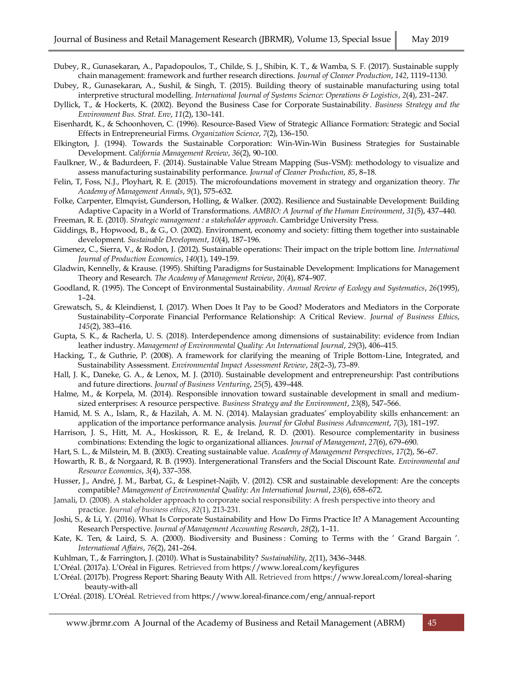- Dubey, R., Gunasekaran, A., Papadopoulos, T., Childe, S. J., Shibin, K. T., & Wamba, S. F. (2017). Sustainable supply chain management: framework and further research directions. *Journal of Cleaner Production*, *142*, 1119–1130.
- Dubey, R., Gunasekaran, A., Sushil, & Singh, T. (2015). Building theory of sustainable manufacturing using total interpretive structural modelling. *International Journal of Systems Science: Operations & Logistics*, *2*(4), 231–247.
- Dyllick, T., & Hockerts, K. (2002). Beyond the Business Case for Corporate Sustainability. *Business Strategy and the Environment Bus. Strat. Env*, *11*(2), 130–141.
- Eisenhardt, K., & Schoonhoven, C. (1996). Resource-Based View of Strategic Alliance Formation: Strategic and Social Effects in Entrepreneurial Firms. *Organization Science*, *7*(2), 136–150.
- Elkington, J. (1994). Towards the Sustainable Corporation: Win-Win-Win Business Strategies for Sustainable Development. *California Management Review*, *36*(2), 90–100.
- Faulkner, W., & Badurdeen, F. (2014). Sustainable Value Stream Mapping (Sus-VSM): methodology to visualize and assess manufacturing sustainability performance. *Journal of Cleaner Production*, *85*, 8–18.
- Felin, T, Foss, N.J., Ployhart, R. E. (2015). The microfoundations movement in strategy and organization theory. *The Academy of Management Annals*, *9*(1), 575–632.
- Folke, Carpenter, Elmqvist, Gunderson, Holling, & Walker. (2002). Resilience and Sustainable Development: Building Adaptive Capacity in a World of Transformations. *AMBIO: A Journal of the Human Environment*, *31*(5), 437–440.

Freeman, R. E. (2010). *Strategic management : a stakeholder approach*. Cambridge University Press.

- Giddings, B., Hopwood, B., & G., O. (2002). Environment, economy and society: fitting them together into sustainable development. *Sustainable Development*, *10*(4), 187–196.
- Gimenez, C., Sierra, V., & Rodon, J. (2012). Sustainable operations: Their impact on the triple bottom line. *International Journal of Production Economics*, *140*(1), 149–159.
- Gladwin, Kennelly, & Krause. (1995). Shifting Paradigms for Sustainable Development: Implications for Management Theory and Research. *The Academy of Management Review*, *20*(4), 874–907.
- Goodland, R. (1995). The Concept of Environmental Sustainability. *Annual Review of Ecology and Systematics*, *26*(1995), 1–24.
- Grewatsch, S., & Kleindienst, I. (2017). When Does It Pay to be Good? Moderators and Mediators in the Corporate Sustainability–Corporate Financial Performance Relationship: A Critical Review. *Journal of Business Ethics*, *145*(2), 383–416.
- Gupta, S. K., & Racherla, U. S. (2018). Interdependence among dimensions of sustainability: evidence from Indian leather industry. *Management of Environmental Quality: An International Journal*, *29*(3), 406–415.
- Hacking, T., & Guthrie, P. (2008). A framework for clarifying the meaning of Triple Bottom-Line, Integrated, and Sustainability Assessment. *Environmental Impact Assessment Review*, *28*(2–3), 73–89.
- Hall, J. K., Daneke, G. A., & Lenox, M. J. (2010). Sustainable development and entrepreneurship: Past contributions and future directions. *Journal of Business Venturing*, *25*(5), 439–448.
- Halme, M., & Korpela, M. (2014). Responsible innovation toward sustainable development in small and mediumsized enterprises: A resource perspective. *Business Strategy and the Environment*, *23*(8), 547–566.
- Hamid, M. S. A., Islam, R., & Hazilah, A. M. N. (2014). Malaysian graduates' employability skills enhancement: an application of the importance performance analysis. *Journal for Global Business Advancement*, *7*(3), 181–197.
- Harrison, J. S., Hitt, M. A., Hoskisson, R. E., & Ireland, R. D. (2001). Resource complementarity in business combinations: Extending the logic to organizational alliances. *Journal of Management*, *27*(6), 679–690.
- Hart, S. L., & Milstein, M. B. (2003). Creating sustainable value. *Academy of Management Perspectives*, *17*(2), 56–67.
- Howarth, R. B., & Norgaard, R. B. (1993). Intergenerational Transfers and the Social Discount Rate. *Environmental and Resource Economics*, *3*(4), 337–358.
- Husser, J., André, J. M., Barbat, G., & Lespinet-Najib, V. (2012). CSR and sustainable development: Are the concepts compatible? *Management of Environmental Quality: An International Journal*, *23*(6), 658–672.
- Jamali, D. (2008). A stakeholder approach to corporate social responsibility: A fresh perspective into theory and practice. *Journal of business ethics*, *82*(1), 213-231.
- Joshi, S., & Li, Y. (2016). What Is Corporate Sustainability and How Do Firms Practice It? A Management Accounting Research Perspective. *Journal of Management Accounting Research*, *28*(2), 1–11.
- Kate, K. Ten, & Laird, S. A. (2000). Biodiversity and Business : Coming to Terms with the ' Grand Bargain '. *International Affairs*, *76*(2), 241–264.
- Kuhlman, T., & Farrington, J. (2010). What is Sustainability? *Sustainability*, *2*(11), 3436–3448.
- L'Oréal. (2017a). L'Oréal in Figures. Retrieved from https://www.loreal.com/keyfigures
- L'Oréal. (2017b). Progress Report: Sharing Beauty With All. Retrieved from https://www.loreal.com/loreal-sharing beauty-with-all
- L'Oréal. (2018). L'Oréal. Retrieved from https://www.loreal-finance.com/eng/annual-report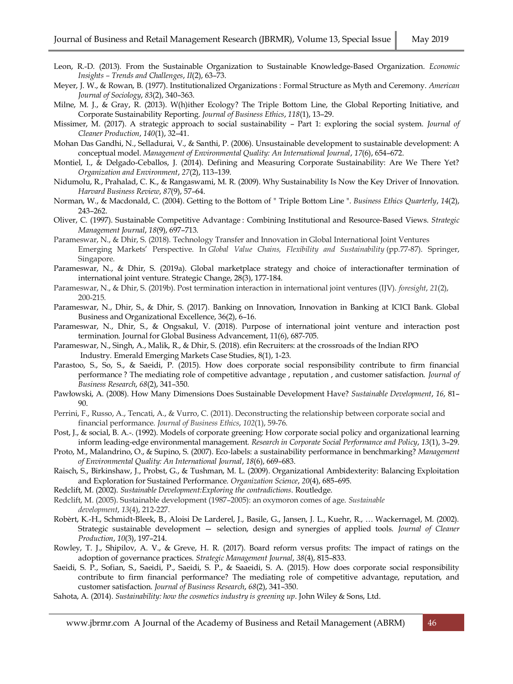- Leon, R.-D. (2013). From the Sustainable Organization to Sustainable Knowledge-Based Organization. *Economic Insights – Trends and Challenges*, *II*(2), 63–73.
- Meyer, J. W., & Rowan, B. (1977). Institutionalized Organizations : Formal Structure as Myth and Ceremony. *American Journal of Sociology*, *83*(2), 340–363.
- Milne, M. J., & Gray, R. (2013). W(h)ither Ecology? The Triple Bottom Line, the Global Reporting Initiative, and Corporate Sustainability Reporting. *Journal of Business Ethics*, *118*(1), 13–29.
- Missimer, M. (2017). A strategic approach to social sustainability Part 1: exploring the social system. *Journal of Cleaner Production*, *140*(1), 32–41.
- Mohan Das Gandhi, N., Selladurai, V., & Santhi, P. (2006). Unsustainable development to sustainable development: A conceptual model. *Management of Environmental Quality: An International Journal*, *17*(6), 654–672.
- Montiel, I., & Delgado-Ceballos, J. (2014). Defining and Measuring Corporate Sustainability: Are We There Yet? *Organization and Environment*, *27*(2), 113–139.
- Nidumolu, R., Prahalad, C. K., & Rangaswami, M. R. (2009). Why Sustainability Is Now the Key Driver of Innovation. *Harvard Business Review*, *87*(9), 57–64.
- Norman, W., & Macdonald, C. (2004). Getting to the Bottom of " Triple Bottom Line ". *Business Ethics Quarterly*, *14*(2), 243–262.
- Oliver, C. (1997). Sustainable Competitive Advantage : Combining Institutional and Resource-Based Views. *Strategic Management Journal*, *18*(9), 697–713.
- Parameswar, N., & Dhir, S. (2018). Technology Transfer and Innovation in Global International Joint Ventures Emerging Markets' Perspective. In *Global Value Chains, Flexibility and Sustainability* (pp.77-87). Springer, Singapore.
- Parameswar, N., & Dhir, S. (2019a). Global marketplace strategy and choice of interactionafter termination of international joint venture. Strategic Change, 28(3), 177-184.
- Parameswar, N., & Dhir, S. (2019b). Post termination interaction in international joint ventures (IJV). *foresight*, *21*(2), 200-215.
- Parameswar, N., Dhir, S., & Dhir, S. (2017). Banking on Innovation, Innovation in Banking at ICICI Bank. Global Business and Organizational Excellence, 36(2), 6–16.
- Parameswar, N., Dhir, S., & Ongsakul, V. (2018). Purpose of international joint venture and interaction post termination. Journal for Global Business Advancement, 11(6), 687-705.
- Parameswar, N., Singh, A., Malik, R., & Dhir, S. (2018). efin Recruiters: at the crossroads of the Indian RPO Industry. Emerald Emerging Markets Case Studies, 8(1), 1-23.
- Parastoo, S., So, S., & Saeidi, P. (2015). How does corporate social responsibility contribute to firm financial performance ? The mediating role of competitive advantage , reputation , and customer satisfaction. *Journal of Business Research*, *68*(2), 341–350.
- Pawłowski, A. (2008). How Many Dimensions Does Sustainable Development Have? *Sustainable Development*, *16*, 81– 90.
- Perrini, F., Russo, A., Tencati, A., & Vurro, C. (2011). Deconstructing the relationship between corporate social and financial performance. *Journal of Business Ethics*, *102*(1), 59-76.
- Post, J., & social, B. A.-. (1992). Models of corporate greening: How corporate social policy and organizational learning inform leading-edge environmental management. *Research in Corporate Social Performance and Policy*, *13*(1), 3–29.
- Proto, M., Malandrino, O., & Supino, S. (2007). Eco‐labels: a sustainability performance in benchmarking? *Management of Environmental Quality: An International Journal*, *18*(6), 669–683.
- Raisch, S., Birkinshaw, J., Probst, G., & Tushman, M. L. (2009). Organizational Ambidexterity: Balancing Exploitation and Exploration for Sustained Performance. *Organization Science*, *20*(4), 685–695.
- Redclift, M. (2002). *Sustainable Development:Exploring the contradictions*. Routledge.
- Redclift, M. (2005). Sustainable development (1987–2005): an oxymoron comes of age. *Sustainable development*, *13*(4), 212-227.
- Robèrt, K.-H., Schmidt-Bleek, B., Aloisi De Larderel, J., Basile, G., Jansen, J. L., Kuehr, R., … Wackernagel, M. (2002). Strategic sustainable development — selection, design and synergies of applied tools. *Journal of Cleaner Production*, *10*(3), 197–214.
- Rowley, T. J., Shipilov, A. V., & Greve, H. R. (2017). Board reform versus profits: The impact of ratings on the adoption of governance practices. *Strategic Management Journal*, *38*(4), 815–833.
- Saeidi, S. P., Sofian, S., Saeidi, P., Saeidi, S. P., & Saaeidi, S. A. (2015). How does corporate social responsibility contribute to firm financial performance? The mediating role of competitive advantage, reputation, and customer satisfaction. *Journal of Business Research*, *68*(2), 341–350.
- Sahota, A. (2014). *Sustainability: how the cosmetics industry is greening up*. John Wiley & Sons, Ltd.